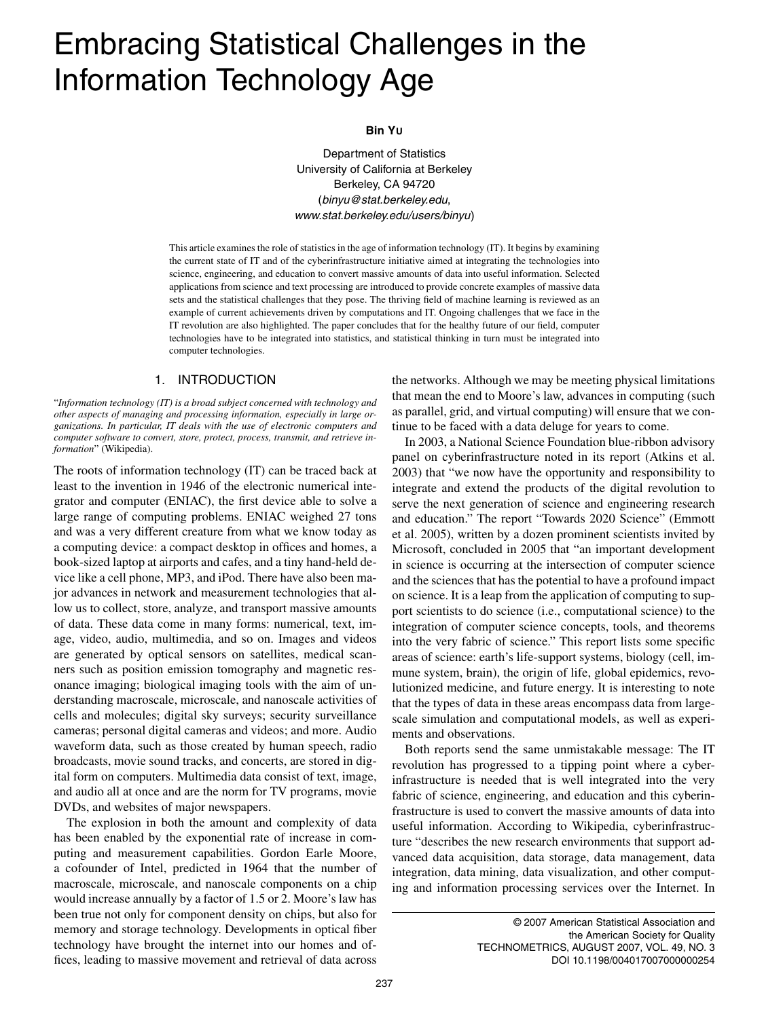# Embracing Statistical Challenges in the Information Technology Age

**Bin YU**

Department of Statistics University of California at Berkeley Berkeley, CA 94720 (binyu@stat.berkeley.edu, www.stat.berkeley.edu/users/binyu)

This article examines the role of statistics in the age of information technology (IT). It begins by examining the current state of IT and of the cyberinfrastructure initiative aimed at integrating the technologies into science, engineering, and education to convert massive amounts of data into useful information. Selected applications from science and text processing are introduced to provide concrete examples of massive data sets and the statistical challenges that they pose. The thriving field of machine learning is reviewed as an example of current achievements driven by computations and IT. Ongoing challenges that we face in the IT revolution are also highlighted. The paper concludes that for the healthy future of our field, computer technologies have to be integrated into statistics, and statistical thinking in turn must be integrated into computer technologies.

### 1. INTRODUCTION

"*Information technology (IT) is a broad subject concerned with technology and other aspects of managing and processing information, especially in large organizations. In particular, IT deals with the use of electronic computers and computer software to convert, store, protect, process, transmit, and retrieve information*" (Wikipedia).

The roots of information technology (IT) can be traced back at least to the invention in 1946 of the electronic numerical integrator and computer (ENIAC), the first device able to solve a large range of computing problems. ENIAC weighed 27 tons and was a very different creature from what we know today as a computing device: a compact desktop in offices and homes, a book-sized laptop at airports and cafes, and a tiny hand-held device like a cell phone, MP3, and iPod. There have also been major advances in network and measurement technologies that allow us to collect, store, analyze, and transport massive amounts of data. These data come in many forms: numerical, text, image, video, audio, multimedia, and so on. Images and videos are generated by optical sensors on satellites, medical scanners such as position emission tomography and magnetic resonance imaging; biological imaging tools with the aim of understanding macroscale, microscale, and nanoscale activities of cells and molecules; digital sky surveys; security surveillance cameras; personal digital cameras and videos; and more. Audio waveform data, such as those created by human speech, radio broadcasts, movie sound tracks, and concerts, are stored in digital form on computers. Multimedia data consist of text, image, and audio all at once and are the norm for TV programs, movie DVDs, and websites of major newspapers.

The explosion in both the amount and complexity of data has been enabled by the exponential rate of increase in computing and measurement capabilities. Gordon Earle Moore, a cofounder of Intel, predicted in 1964 that the number of macroscale, microscale, and nanoscale components on a chip would increase annually by a factor of 1.5 or 2. Moore's law has been true not only for component density on chips, but also for memory and storage technology. Developments in optical fiber technology have brought the internet into our homes and offices, leading to massive movement and retrieval of data across

the networks. Although we may be meeting physical limitations that mean the end to Moore's law, advances in computing (such as parallel, grid, and virtual computing) will ensure that we continue to be faced with a data deluge for years to come.

In 2003, a National Science Foundation blue-ribbon advisory panel on cyberinfrastructure noted in its report (Atkins et al. 2003) that "we now have the opportunity and responsibility to integrate and extend the products of the digital revolution to serve the next generation of science and engineering research and education." The report "Towards 2020 Science" (Emmott et al. 2005), written by a dozen prominent scientists invited by Microsoft, concluded in 2005 that "an important development in science is occurring at the intersection of computer science and the sciences that has the potential to have a profound impact on science. It is a leap from the application of computing to support scientists to do science (i.e., computational science) to the integration of computer science concepts, tools, and theorems into the very fabric of science." This report lists some specific areas of science: earth's life-support systems, biology (cell, immune system, brain), the origin of life, global epidemics, revolutionized medicine, and future energy. It is interesting to note that the types of data in these areas encompass data from largescale simulation and computational models, as well as experiments and observations.

Both reports send the same unmistakable message: The IT revolution has progressed to a tipping point where a cyberinfrastructure is needed that is well integrated into the very fabric of science, engineering, and education and this cyberinfrastructure is used to convert the massive amounts of data into useful information. According to Wikipedia, cyberinfrastructure "describes the new research environments that support advanced data acquisition, data storage, data management, data integration, data mining, data visualization, and other computing and information processing services over the Internet. In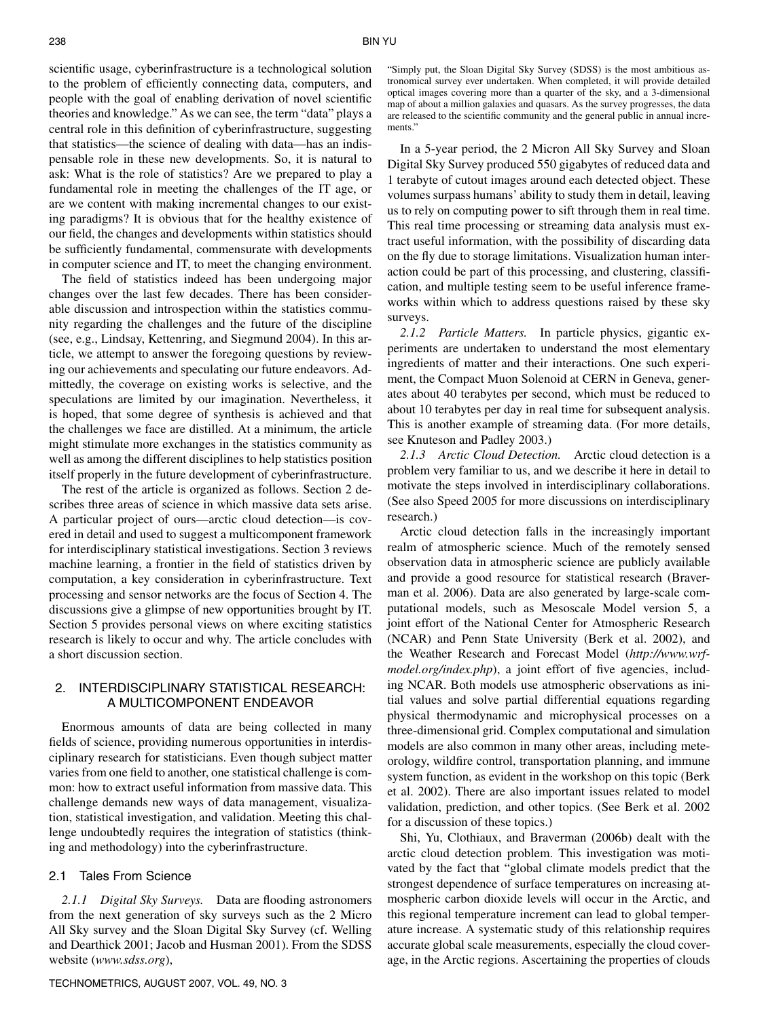scientific usage, cyberinfrastructure is a technological solution to the problem of efficiently connecting data, computers, and people with the goal of enabling derivation of novel scientific theories and knowledge." As we can see, the term "data" plays a central role in this definition of cyberinfrastructure, suggesting that statistics—the science of dealing with data—has an indispensable role in these new developments. So, it is natural to ask: What is the role of statistics? Are we prepared to play a fundamental role in meeting the challenges of the IT age, or are we content with making incremental changes to our existing paradigms? It is obvious that for the healthy existence of our field, the changes and developments within statistics should be sufficiently fundamental, commensurate with developments in computer science and IT, to meet the changing environment.

The field of statistics indeed has been undergoing major changes over the last few decades. There has been considerable discussion and introspection within the statistics community regarding the challenges and the future of the discipline (see, e.g., Lindsay, Kettenring, and Siegmund 2004). In this article, we attempt to answer the foregoing questions by reviewing our achievements and speculating our future endeavors. Admittedly, the coverage on existing works is selective, and the speculations are limited by our imagination. Nevertheless, it is hoped, that some degree of synthesis is achieved and that the challenges we face are distilled. At a minimum, the article might stimulate more exchanges in the statistics community as well as among the different disciplines to help statistics position itself properly in the future development of cyberinfrastructure.

The rest of the article is organized as follows. Section 2 describes three areas of science in which massive data sets arise. A particular project of ours—arctic cloud detection—is covered in detail and used to suggest a multicomponent framework for interdisciplinary statistical investigations. Section 3 reviews machine learning, a frontier in the field of statistics driven by computation, a key consideration in cyberinfrastructure. Text processing and sensor networks are the focus of Section 4. The discussions give a glimpse of new opportunities brought by IT. Section 5 provides personal views on where exciting statistics research is likely to occur and why. The article concludes with a short discussion section.

## 2. INTERDISCIPLINARY STATISTICAL RESEARCH: A MULTICOMPONENT ENDEAVOR

Enormous amounts of data are being collected in many fields of science, providing numerous opportunities in interdisciplinary research for statisticians. Even though subject matter varies from one field to another, one statistical challenge is common: how to extract useful information from massive data. This challenge demands new ways of data management, visualization, statistical investigation, and validation. Meeting this challenge undoubtedly requires the integration of statistics (thinking and methodology) into the cyberinfrastructure.

## 2.1 Tales From Science

*2.1.1 Digital Sky Surveys.* Data are flooding astronomers from the next generation of sky surveys such as the 2 Micro All Sky survey and the Sloan Digital Sky Survey (cf. Welling and Dearthick 2001; Jacob and Husman 2001). From the SDSS website (*www.sdss.org*),

"Simply put, the Sloan Digital Sky Survey (SDSS) is the most ambitious astronomical survey ever undertaken. When completed, it will provide detailed optical images covering more than a quarter of the sky, and a 3-dimensional map of about a million galaxies and quasars. As the survey progresses, the data are released to the scientific community and the general public in annual increments."

In a 5-year period, the 2 Micron All Sky Survey and Sloan Digital Sky Survey produced 550 gigabytes of reduced data and 1 terabyte of cutout images around each detected object. These volumes surpass humans' ability to study them in detail, leaving us to rely on computing power to sift through them in real time. This real time processing or streaming data analysis must extract useful information, with the possibility of discarding data on the fly due to storage limitations. Visualization human interaction could be part of this processing, and clustering, classification, and multiple testing seem to be useful inference frameworks within which to address questions raised by these sky surveys.

*2.1.2 Particle Matters.* In particle physics, gigantic experiments are undertaken to understand the most elementary ingredients of matter and their interactions. One such experiment, the Compact Muon Solenoid at CERN in Geneva, generates about 40 terabytes per second, which must be reduced to about 10 terabytes per day in real time for subsequent analysis. This is another example of streaming data. (For more details, see Knuteson and Padley 2003.)

*2.1.3 Arctic Cloud Detection.* Arctic cloud detection is a problem very familiar to us, and we describe it here in detail to motivate the steps involved in interdisciplinary collaborations. (See also Speed 2005 for more discussions on interdisciplinary research.)

Arctic cloud detection falls in the increasingly important realm of atmospheric science. Much of the remotely sensed observation data in atmospheric science are publicly available and provide a good resource for statistical research (Braverman et al. 2006). Data are also generated by large-scale computational models, such as Mesoscale Model version 5, a joint effort of the National Center for Atmospheric Research (NCAR) and Penn State University (Berk et al. 2002), and the Weather Research and Forecast Model (*http://www.wrfmodel.org/index.php*), a joint effort of five agencies, including NCAR. Both models use atmospheric observations as initial values and solve partial differential equations regarding physical thermodynamic and microphysical processes on a three-dimensional grid. Complex computational and simulation models are also common in many other areas, including meteorology, wildfire control, transportation planning, and immune system function, as evident in the workshop on this topic (Berk et al. 2002). There are also important issues related to model validation, prediction, and other topics. (See Berk et al. 2002 for a discussion of these topics.)

Shi, Yu, Clothiaux, and Braverman (2006b) dealt with the arctic cloud detection problem. This investigation was motivated by the fact that "global climate models predict that the strongest dependence of surface temperatures on increasing atmospheric carbon dioxide levels will occur in the Arctic, and this regional temperature increment can lead to global temperature increase. A systematic study of this relationship requires accurate global scale measurements, especially the cloud coverage, in the Arctic regions. Ascertaining the properties of clouds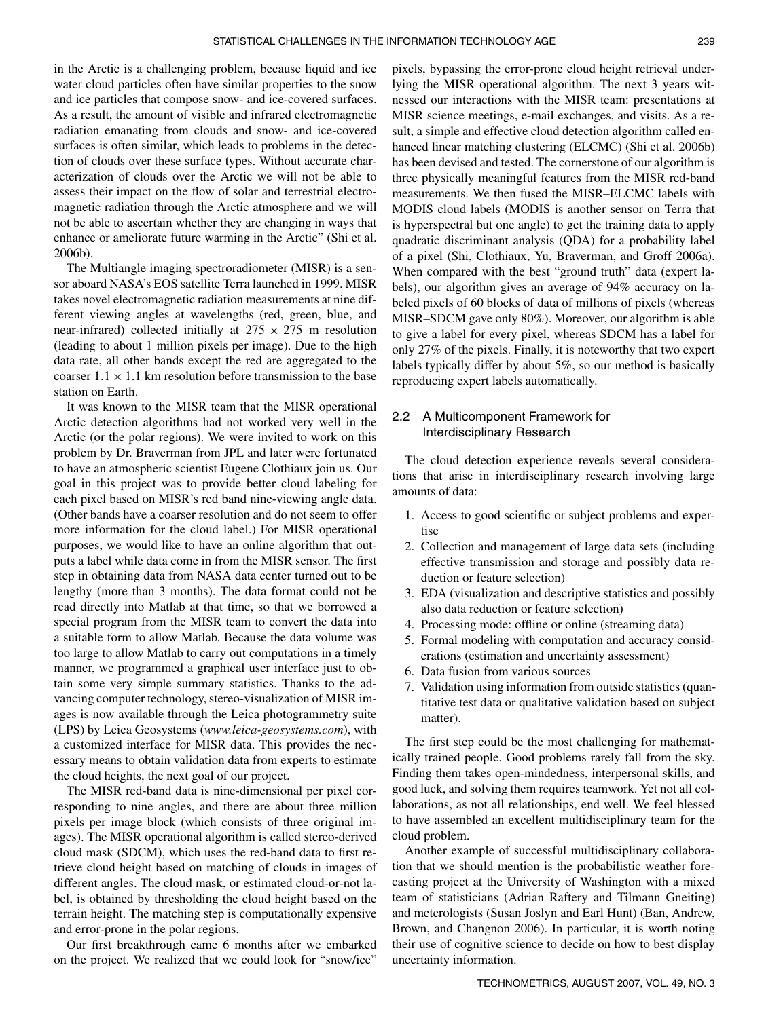in the Arctic is a challenging problem, because liquid and ice water cloud particles often have similar properties to the snow and ice particles that compose snow- and ice-covered surfaces. As a result, the amount of visible and infrared electromagnetic radiation emanating from clouds and snow- and ice-covered surfaces is often similar, which leads to problems in the detection of clouds over these surface types. Without accurate characterization of clouds over the Arctic we will not be able to assess their impact on the flow of solar and terrestrial electromagnetic radiation through the Arctic atmosphere and we will not be able to ascertain whether they are changing in ways that enhance or ameliorate future warming in the Arctic" (Shi et al. 2006b).

The Multiangle imaging spectroradiometer (MISR) is a sensor aboard NASA's EOS satellite Terra launched in 1999. MISR takes novel electromagnetic radiation measurements at nine different viewing angles at wavelengths (red, green, blue, and near-infrared) collected initially at  $275 \times 275$  m resolution (leading to about 1 million pixels per image). Due to the high data rate, all other bands except the red are aggregated to the coarser  $1.1 \times 1.1$  km resolution before transmission to the base station on Earth.

It was known to the MISR team that the MISR operational Arctic detection algorithms had not worked very well in the Arctic (or the polar regions). We were invited to work on this problem by Dr. Braverman from JPL and later were fortunated to have an atmospheric scientist Eugene Clothiaux join us. Our goal in this project was to provide better cloud labeling for each pixel based on MISR's red band nine-viewing angle data. (Other bands have a coarser resolution and do not seem to offer more information for the cloud label.) For MISR operational purposes, we would like to have an online algorithm that outputs a label while data come in from the MISR sensor. The first step in obtaining data from NASA data center turned out to be lengthy (more than 3 months). The data format could not be read directly into Matlab at that time, so that we borrowed a special program from the MISR team to convert the data into a suitable form to allow Matlab. Because the data volume was too large to allow Matlab to carry out computations in a timely manner, we programmed a graphical user interface just to obtain some very simple summary statistics. Thanks to the advancing computer technology, stereo-visualization of MISR images is now available through the Leica photogrammetry suite (LPS) by Leica Geosystems (*www.leica-geosystems.com*), with a customized interface for MISR data. This provides the necessary means to obtain validation data from experts to estimate the cloud heights, the next goal of our project.

The MISR red-band data is nine-dimensional per pixel corresponding to nine angles, and there are about three million pixels per image block (which consists of three original images). The MISR operational algorithm is called stereo-derived cloud mask (SDCM), which uses the red-band data to first retrieve cloud height based on matching of clouds in images of different angles. The cloud mask, or estimated cloud-or-not label, is obtained by thresholding the cloud height based on the terrain height. The matching step is computationally expensive and error-prone in the polar regions.

Our first breakthrough came 6 months after we embarked on the project. We realized that we could look for "snow/ice"

pixels, bypassing the error-prone cloud height retrieval underlying the MISR operational algorithm. The next 3 years witnessed our interactions with the MISR team: presentations at MISR science meetings, e-mail exchanges, and visits. As a result, a simple and effective cloud detection algorithm called enhanced linear matching clustering (ELCMC) (Shi et al. 2006b) has been devised and tested. The cornerstone of our algorithm is three physically meaningful features from the MISR red-band measurements. We then fused the MISR–ELCMC labels with MODIS cloud labels (MODIS is another sensor on Terra that is hyperspectral but one angle) to get the training data to apply quadratic discriminant analysis (QDA) for a probability label of a pixel (Shi, Clothiaux, Yu, Braverman, and Groff 2006a). When compared with the best "ground truth" data (expert labels), our algorithm gives an average of 94% accuracy on labeled pixels of 60 blocks of data of millions of pixels (whereas MISR–SDCM gave only 80%). Moreover, our algorithm is able to give a label for every pixel, whereas SDCM has a label for only 27% of the pixels. Finally, it is noteworthy that two expert labels typically differ by about 5%, so our method is basically reproducing expert labels automatically.

## 2.2 A Multicomponent Framework for Interdisciplinary Research

The cloud detection experience reveals several considerations that arise in interdisciplinary research involving large amounts of data:

- 1. Access to good scientific or subject problems and expertise
- 2. Collection and management of large data sets (including effective transmission and storage and possibly data reduction or feature selection)
- 3. EDA (visualization and descriptive statistics and possibly also data reduction or feature selection)
- 4. Processing mode: offline or online (streaming data)
- 5. Formal modeling with computation and accuracy considerations (estimation and uncertainty assessment)
- 6. Data fusion from various sources
- 7. Validation using information from outside statistics (quantitative test data or qualitative validation based on subject matter).

The first step could be the most challenging for mathematically trained people. Good problems rarely fall from the sky. Finding them takes open-mindedness, interpersonal skills, and good luck, and solving them requires teamwork. Yet not all collaborations, as not all relationships, end well. We feel blessed to have assembled an excellent multidisciplinary team for the cloud problem.

Another example of successful multidisciplinary collaboration that we should mention is the probabilistic weather forecasting project at the University of Washington with a mixed team of statisticians (Adrian Raftery and Tilmann Gneiting) and meterologists (Susan Joslyn and Earl Hunt) (Ban, Andrew, Brown, and Changnon 2006). In particular, it is worth noting their use of cognitive science to decide on how to best display uncertainty information.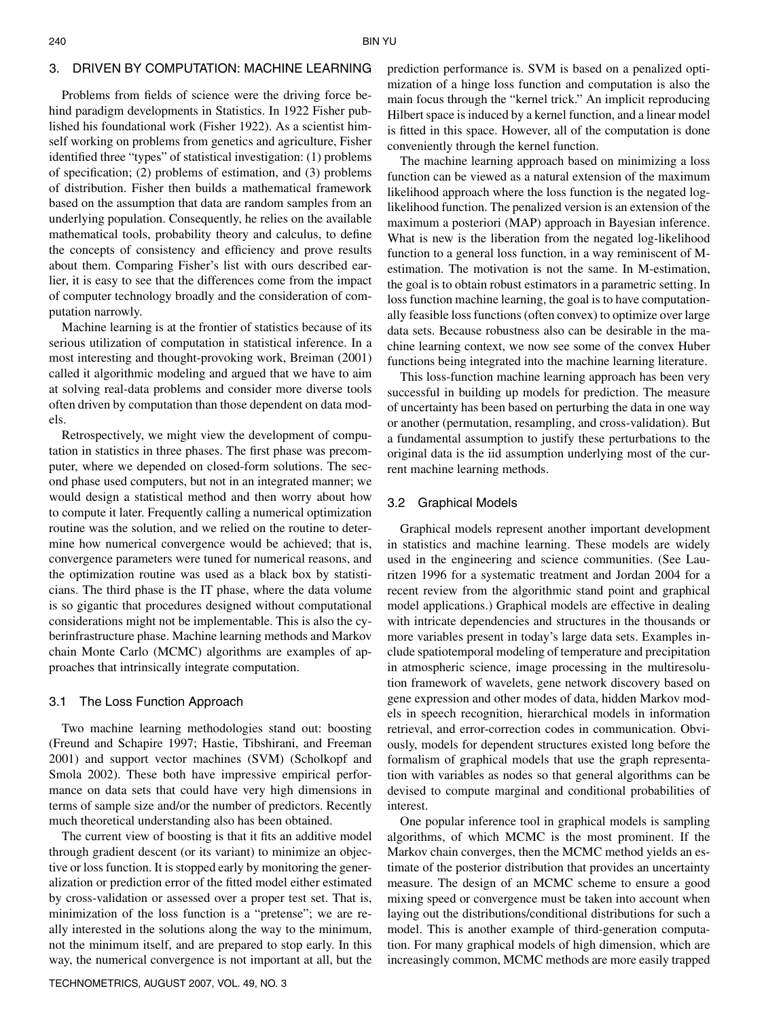#### 3. DRIVEN BY COMPUTATION: MACHINE LEARNING

Problems from fields of science were the driving force behind paradigm developments in Statistics. In 1922 Fisher published his foundational work (Fisher 1922). As a scientist himself working on problems from genetics and agriculture, Fisher identified three "types" of statistical investigation: (1) problems of specification; (2) problems of estimation, and (3) problems of distribution. Fisher then builds a mathematical framework based on the assumption that data are random samples from an underlying population. Consequently, he relies on the available mathematical tools, probability theory and calculus, to define the concepts of consistency and efficiency and prove results about them. Comparing Fisher's list with ours described earlier, it is easy to see that the differences come from the impact of computer technology broadly and the consideration of computation narrowly.

Machine learning is at the frontier of statistics because of its serious utilization of computation in statistical inference. In a most interesting and thought-provoking work, Breiman (2001) called it algorithmic modeling and argued that we have to aim at solving real-data problems and consider more diverse tools often driven by computation than those dependent on data models.

Retrospectively, we might view the development of computation in statistics in three phases. The first phase was precomputer, where we depended on closed-form solutions. The second phase used computers, but not in an integrated manner; we would design a statistical method and then worry about how to compute it later. Frequently calling a numerical optimization routine was the solution, and we relied on the routine to determine how numerical convergence would be achieved; that is, convergence parameters were tuned for numerical reasons, and the optimization routine was used as a black box by statisticians. The third phase is the IT phase, where the data volume is so gigantic that procedures designed without computational considerations might not be implementable. This is also the cyberinfrastructure phase. Machine learning methods and Markov chain Monte Carlo (MCMC) algorithms are examples of approaches that intrinsically integrate computation.

#### 3.1 The Loss Function Approach

Two machine learning methodologies stand out: boosting (Freund and Schapire 1997; Hastie, Tibshirani, and Freeman 2001) and support vector machines (SVM) (Scholkopf and Smola 2002). These both have impressive empirical performance on data sets that could have very high dimensions in terms of sample size and/or the number of predictors. Recently much theoretical understanding also has been obtained.

The current view of boosting is that it fits an additive model through gradient descent (or its variant) to minimize an objective or loss function. It is stopped early by monitoring the generalization or prediction error of the fitted model either estimated by cross-validation or assessed over a proper test set. That is, minimization of the loss function is a "pretense"; we are really interested in the solutions along the way to the minimum, not the minimum itself, and are prepared to stop early. In this way, the numerical convergence is not important at all, but the

prediction performance is. SVM is based on a penalized optimization of a hinge loss function and computation is also the main focus through the "kernel trick." An implicit reproducing Hilbert space is induced by a kernel function, and a linear model is fitted in this space. However, all of the computation is done conveniently through the kernel function.

The machine learning approach based on minimizing a loss function can be viewed as a natural extension of the maximum likelihood approach where the loss function is the negated loglikelihood function. The penalized version is an extension of the maximum a posteriori (MAP) approach in Bayesian inference. What is new is the liberation from the negated log-likelihood function to a general loss function, in a way reminiscent of Mestimation. The motivation is not the same. In M-estimation, the goal is to obtain robust estimators in a parametric setting. In loss function machine learning, the goal is to have computationally feasible loss functions (often convex) to optimize over large data sets. Because robustness also can be desirable in the machine learning context, we now see some of the convex Huber functions being integrated into the machine learning literature.

This loss-function machine learning approach has been very successful in building up models for prediction. The measure of uncertainty has been based on perturbing the data in one way or another (permutation, resampling, and cross-validation). But a fundamental assumption to justify these perturbations to the original data is the iid assumption underlying most of the current machine learning methods.

## 3.2 Graphical Models

Graphical models represent another important development in statistics and machine learning. These models are widely used in the engineering and science communities. (See Lauritzen 1996 for a systematic treatment and Jordan 2004 for a recent review from the algorithmic stand point and graphical model applications.) Graphical models are effective in dealing with intricate dependencies and structures in the thousands or more variables present in today's large data sets. Examples include spatiotemporal modeling of temperature and precipitation in atmospheric science, image processing in the multiresolution framework of wavelets, gene network discovery based on gene expression and other modes of data, hidden Markov models in speech recognition, hierarchical models in information retrieval, and error-correction codes in communication. Obviously, models for dependent structures existed long before the formalism of graphical models that use the graph representation with variables as nodes so that general algorithms can be devised to compute marginal and conditional probabilities of interest.

One popular inference tool in graphical models is sampling algorithms, of which MCMC is the most prominent. If the Markov chain converges, then the MCMC method yields an estimate of the posterior distribution that provides an uncertainty measure. The design of an MCMC scheme to ensure a good mixing speed or convergence must be taken into account when laying out the distributions/conditional distributions for such a model. This is another example of third-generation computation. For many graphical models of high dimension, which are increasingly common, MCMC methods are more easily trapped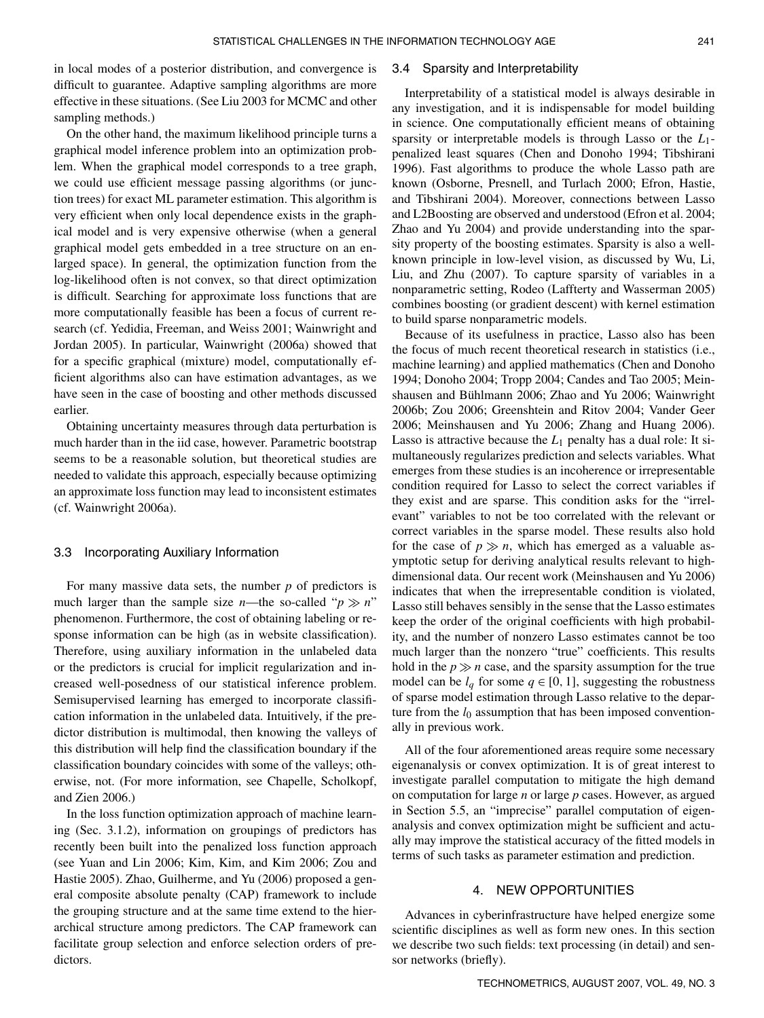in local modes of a posterior distribution, and convergence is difficult to guarantee. Adaptive sampling algorithms are more effective in these situations. (See Liu 2003 for MCMC and other sampling methods.)

On the other hand, the maximum likelihood principle turns a graphical model inference problem into an optimization problem. When the graphical model corresponds to a tree graph, we could use efficient message passing algorithms (or junction trees) for exact ML parameter estimation. This algorithm is very efficient when only local dependence exists in the graphical model and is very expensive otherwise (when a general graphical model gets embedded in a tree structure on an enlarged space). In general, the optimization function from the log-likelihood often is not convex, so that direct optimization is difficult. Searching for approximate loss functions that are more computationally feasible has been a focus of current research (cf. Yedidia, Freeman, and Weiss 2001; Wainwright and Jordan 2005). In particular, Wainwright (2006a) showed that for a specific graphical (mixture) model, computationally efficient algorithms also can have estimation advantages, as we have seen in the case of boosting and other methods discussed earlier.

Obtaining uncertainty measures through data perturbation is much harder than in the iid case, however. Parametric bootstrap seems to be a reasonable solution, but theoretical studies are needed to validate this approach, especially because optimizing an approximate loss function may lead to inconsistent estimates (cf. Wainwright 2006a).

#### 3.3 Incorporating Auxiliary Information

For many massive data sets, the number *p* of predictors is much larger than the sample size *n*—the so-called " $p \gg n$ " phenomenon. Furthermore, the cost of obtaining labeling or response information can be high (as in website classification). Therefore, using auxiliary information in the unlabeled data or the predictors is crucial for implicit regularization and increased well-posedness of our statistical inference problem. Semisupervised learning has emerged to incorporate classification information in the unlabeled data. Intuitively, if the predictor distribution is multimodal, then knowing the valleys of this distribution will help find the classification boundary if the classification boundary coincides with some of the valleys; otherwise, not. (For more information, see Chapelle, Scholkopf, and Zien 2006.)

In the loss function optimization approach of machine learning (Sec. 3.1.2), information on groupings of predictors has recently been built into the penalized loss function approach (see Yuan and Lin 2006; Kim, Kim, and Kim 2006; Zou and Hastie 2005). Zhao, Guilherme, and Yu (2006) proposed a general composite absolute penalty (CAP) framework to include the grouping structure and at the same time extend to the hierarchical structure among predictors. The CAP framework can facilitate group selection and enforce selection orders of predictors.

#### 3.4 Sparsity and Interpretability

Interpretability of a statistical model is always desirable in any investigation, and it is indispensable for model building in science. One computationally efficient means of obtaining sparsity or interpretable models is through Lasso or the *L*1 penalized least squares (Chen and Donoho 1994; Tibshirani 1996). Fast algorithms to produce the whole Lasso path are known (Osborne, Presnell, and Turlach 2000; Efron, Hastie, and Tibshirani 2004). Moreover, connections between Lasso and L2Boosting are observed and understood (Efron et al. 2004; Zhao and Yu 2004) and provide understanding into the sparsity property of the boosting estimates. Sparsity is also a wellknown principle in low-level vision, as discussed by Wu, Li, Liu, and Zhu (2007). To capture sparsity of variables in a nonparametric setting, Rodeo (Laffterty and Wasserman 2005) combines boosting (or gradient descent) with kernel estimation to build sparse nonparametric models.

Because of its usefulness in practice, Lasso also has been the focus of much recent theoretical research in statistics (i.e., machine learning) and applied mathematics (Chen and Donoho 1994; Donoho 2004; Tropp 2004; Candes and Tao 2005; Meinshausen and Bühlmann 2006; Zhao and Yu 2006; Wainwright 2006b; Zou 2006; Greenshtein and Ritov 2004; Vander Geer 2006; Meinshausen and Yu 2006; Zhang and Huang 2006). Lasso is attractive because the *L*<sup>1</sup> penalty has a dual role: It simultaneously regularizes prediction and selects variables. What emerges from these studies is an incoherence or irrepresentable condition required for Lasso to select the correct variables if they exist and are sparse. This condition asks for the "irrelevant" variables to not be too correlated with the relevant or correct variables in the sparse model. These results also hold for the case of  $p \gg n$ , which has emerged as a valuable asymptotic setup for deriving analytical results relevant to highdimensional data. Our recent work (Meinshausen and Yu 2006) indicates that when the irrepresentable condition is violated, Lasso still behaves sensibly in the sense that the Lasso estimates keep the order of the original coefficients with high probability, and the number of nonzero Lasso estimates cannot be too much larger than the nonzero "true" coefficients. This results hold in the  $p \gg n$  case, and the sparsity assumption for the true model can be  $l_q$  for some  $q \in [0, 1]$ , suggesting the robustness of sparse model estimation through Lasso relative to the departure from the  $l_0$  assumption that has been imposed conventionally in previous work.

All of the four aforementioned areas require some necessary eigenanalysis or convex optimization. It is of great interest to investigate parallel computation to mitigate the high demand on computation for large *n* or large *p* cases. However, as argued in Section 5.5, an "imprecise" parallel computation of eigenanalysis and convex optimization might be sufficient and actually may improve the statistical accuracy of the fitted models in terms of such tasks as parameter estimation and prediction.

## 4. NEW OPPORTUNITIES

Advances in cyberinfrastructure have helped energize some scientific disciplines as well as form new ones. In this section we describe two such fields: text processing (in detail) and sensor networks (briefly).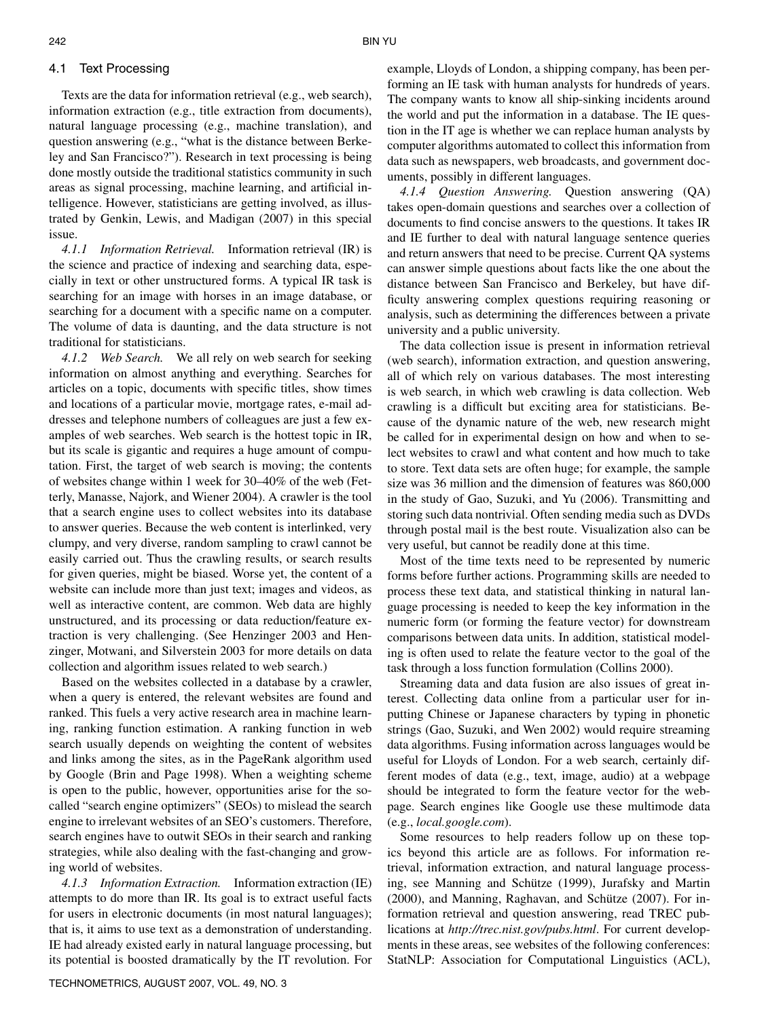## 4.1 Text Processing

Texts are the data for information retrieval (e.g., web search), information extraction (e.g., title extraction from documents), natural language processing (e.g., machine translation), and question answering (e.g., "what is the distance between Berkeley and San Francisco?"). Research in text processing is being done mostly outside the traditional statistics community in such areas as signal processing, machine learning, and artificial intelligence. However, statisticians are getting involved, as illustrated by Genkin, Lewis, and Madigan (2007) in this special issue.

*4.1.1 Information Retrieval.* Information retrieval (IR) is the science and practice of indexing and searching data, especially in text or other unstructured forms. A typical IR task is searching for an image with horses in an image database, or searching for a document with a specific name on a computer. The volume of data is daunting, and the data structure is not traditional for statisticians.

*4.1.2 Web Search.* We all rely on web search for seeking information on almost anything and everything. Searches for articles on a topic, documents with specific titles, show times and locations of a particular movie, mortgage rates, e-mail addresses and telephone numbers of colleagues are just a few examples of web searches. Web search is the hottest topic in IR, but its scale is gigantic and requires a huge amount of computation. First, the target of web search is moving; the contents of websites change within 1 week for 30–40% of the web (Fetterly, Manasse, Najork, and Wiener 2004). A crawler is the tool that a search engine uses to collect websites into its database to answer queries. Because the web content is interlinked, very clumpy, and very diverse, random sampling to crawl cannot be easily carried out. Thus the crawling results, or search results for given queries, might be biased. Worse yet, the content of a website can include more than just text; images and videos, as well as interactive content, are common. Web data are highly unstructured, and its processing or data reduction/feature extraction is very challenging. (See Henzinger 2003 and Henzinger, Motwani, and Silverstein 2003 for more details on data collection and algorithm issues related to web search.)

Based on the websites collected in a database by a crawler, when a query is entered, the relevant websites are found and ranked. This fuels a very active research area in machine learning, ranking function estimation. A ranking function in web search usually depends on weighting the content of websites and links among the sites, as in the PageRank algorithm used by Google (Brin and Page 1998). When a weighting scheme is open to the public, however, opportunities arise for the socalled "search engine optimizers" (SEOs) to mislead the search engine to irrelevant websites of an SEO's customers. Therefore, search engines have to outwit SEOs in their search and ranking strategies, while also dealing with the fast-changing and growing world of websites.

*4.1.3 Information Extraction.* Information extraction (IE) attempts to do more than IR. Its goal is to extract useful facts for users in electronic documents (in most natural languages); that is, it aims to use text as a demonstration of understanding. IE had already existed early in natural language processing, but its potential is boosted dramatically by the IT revolution. For example, Lloyds of London, a shipping company, has been performing an IE task with human analysts for hundreds of years. The company wants to know all ship-sinking incidents around the world and put the information in a database. The IE question in the IT age is whether we can replace human analysts by computer algorithms automated to collect this information from data such as newspapers, web broadcasts, and government documents, possibly in different languages.

*4.1.4 Question Answering.* Question answering (QA) takes open-domain questions and searches over a collection of documents to find concise answers to the questions. It takes IR and IE further to deal with natural language sentence queries and return answers that need to be precise. Current QA systems can answer simple questions about facts like the one about the distance between San Francisco and Berkeley, but have difficulty answering complex questions requiring reasoning or analysis, such as determining the differences between a private university and a public university.

The data collection issue is present in information retrieval (web search), information extraction, and question answering, all of which rely on various databases. The most interesting is web search, in which web crawling is data collection. Web crawling is a difficult but exciting area for statisticians. Because of the dynamic nature of the web, new research might be called for in experimental design on how and when to select websites to crawl and what content and how much to take to store. Text data sets are often huge; for example, the sample size was 36 million and the dimension of features was 860,000 in the study of Gao, Suzuki, and Yu (2006). Transmitting and storing such data nontrivial. Often sending media such as DVDs through postal mail is the best route. Visualization also can be very useful, but cannot be readily done at this time.

Most of the time texts need to be represented by numeric forms before further actions. Programming skills are needed to process these text data, and statistical thinking in natural language processing is needed to keep the key information in the numeric form (or forming the feature vector) for downstream comparisons between data units. In addition, statistical modeling is often used to relate the feature vector to the goal of the task through a loss function formulation (Collins 2000).

Streaming data and data fusion are also issues of great interest. Collecting data online from a particular user for inputting Chinese or Japanese characters by typing in phonetic strings (Gao, Suzuki, and Wen 2002) would require streaming data algorithms. Fusing information across languages would be useful for Lloyds of London. For a web search, certainly different modes of data (e.g., text, image, audio) at a webpage should be integrated to form the feature vector for the webpage. Search engines like Google use these multimode data (e.g., *local.google.com*).

Some resources to help readers follow up on these topics beyond this article are as follows. For information retrieval, information extraction, and natural language processing, see Manning and Schütze (1999), Jurafsky and Martin (2000), and Manning, Raghavan, and Schütze (2007). For information retrieval and question answering, read TREC publications at *http://trec.nist.gov/pubs.html*. For current developments in these areas, see websites of the following conferences: StatNLP: Association for Computational Linguistics (ACL),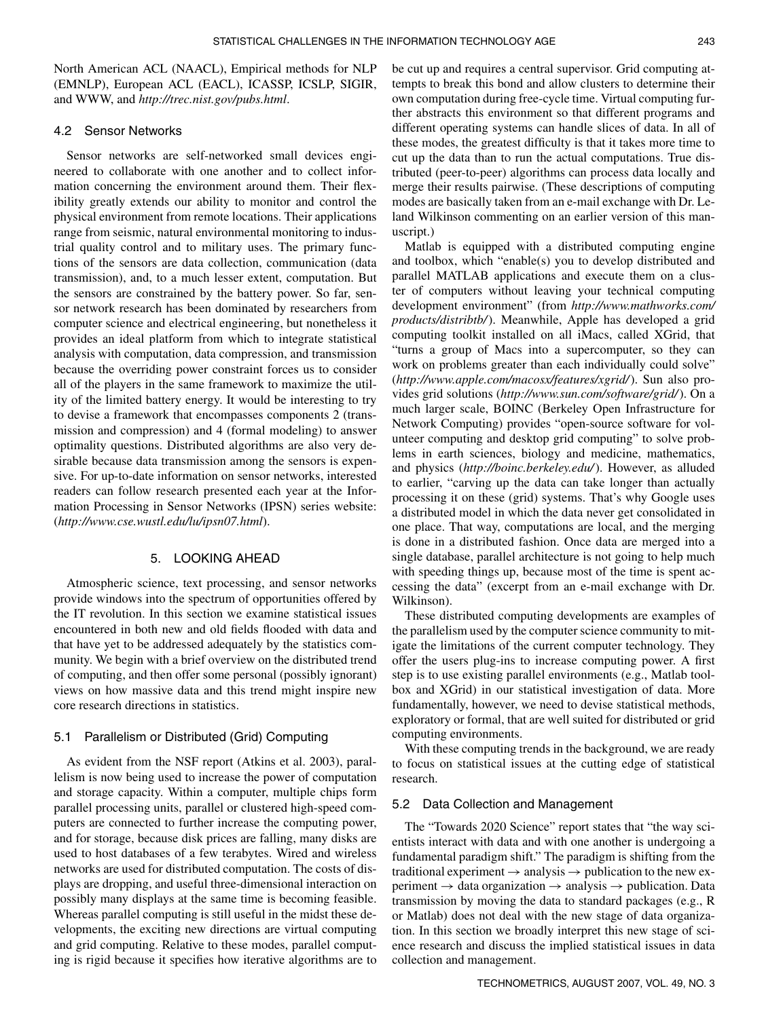TECHNOMETRICS, AUGUST 2007, VOL. 49, NO. 3

North American ACL (NAACL), Empirical methods for NLP (EMNLP), European ACL (EACL), ICASSP, ICSLP, SIGIR, and WWW, and *http://trec.nist.gov/pubs.html*.

## 4.2 Sensor Networks

Sensor networks are self-networked small devices engineered to collaborate with one another and to collect information concerning the environment around them. Their flexibility greatly extends our ability to monitor and control the physical environment from remote locations. Their applications range from seismic, natural environmental monitoring to industrial quality control and to military uses. The primary functions of the sensors are data collection, communication (data transmission), and, to a much lesser extent, computation. But the sensors are constrained by the battery power. So far, sensor network research has been dominated by researchers from computer science and electrical engineering, but nonetheless it provides an ideal platform from which to integrate statistical analysis with computation, data compression, and transmission because the overriding power constraint forces us to consider all of the players in the same framework to maximize the utility of the limited battery energy. It would be interesting to try to devise a framework that encompasses components 2 (transmission and compression) and 4 (formal modeling) to answer optimality questions. Distributed algorithms are also very desirable because data transmission among the sensors is expensive. For up-to-date information on sensor networks, interested readers can follow research presented each year at the Information Processing in Sensor Networks (IPSN) series website: (*http://www.cse.wustl.edu/lu/ipsn07.html*).

## 5. LOOKING AHEAD

Atmospheric science, text processing, and sensor networks provide windows into the spectrum of opportunities offered by the IT revolution. In this section we examine statistical issues encountered in both new and old fields flooded with data and that have yet to be addressed adequately by the statistics community. We begin with a brief overview on the distributed trend of computing, and then offer some personal (possibly ignorant) views on how massive data and this trend might inspire new core research directions in statistics.

### 5.1 Parallelism or Distributed (Grid) Computing

As evident from the NSF report (Atkins et al. 2003), parallelism is now being used to increase the power of computation and storage capacity. Within a computer, multiple chips form parallel processing units, parallel or clustered high-speed computers are connected to further increase the computing power, and for storage, because disk prices are falling, many disks are used to host databases of a few terabytes. Wired and wireless networks are used for distributed computation. The costs of displays are dropping, and useful three-dimensional interaction on possibly many displays at the same time is becoming feasible. Whereas parallel computing is still useful in the midst these developments, the exciting new directions are virtual computing and grid computing. Relative to these modes, parallel computing is rigid because it specifies how iterative algorithms are to be cut up and requires a central supervisor. Grid computing attempts to break this bond and allow clusters to determine their own computation during free-cycle time. Virtual computing further abstracts this environment so that different programs and different operating systems can handle slices of data. In all of these modes, the greatest difficulty is that it takes more time to cut up the data than to run the actual computations. True distributed (peer-to-peer) algorithms can process data locally and merge their results pairwise. (These descriptions of computing modes are basically taken from an e-mail exchange with Dr. Leland Wilkinson commenting on an earlier version of this manuscript.)

Matlab is equipped with a distributed computing engine and toolbox, which "enable(s) you to develop distributed and parallel MATLAB applications and execute them on a cluster of computers without leaving your technical computing development environment" (from *http://www.mathworks.com/ products/distribtb/*). Meanwhile, Apple has developed a grid computing toolkit installed on all iMacs, called XGrid, that "turns a group of Macs into a supercomputer, so they can work on problems greater than each individually could solve" (*http://www.apple.com/macosx/features/xgrid/*). Sun also provides grid solutions (*http://www.sun.com/software/grid/*). On a much larger scale, BOINC (Berkeley Open Infrastructure for Network Computing) provides "open-source software for volunteer computing and desktop grid computing" to solve problems in earth sciences, biology and medicine, mathematics, and physics (*http://boinc.berkeley.edu/*). However, as alluded to earlier, "carving up the data can take longer than actually processing it on these (grid) systems. That's why Google uses a distributed model in which the data never get consolidated in one place. That way, computations are local, and the merging is done in a distributed fashion. Once data are merged into a single database, parallel architecture is not going to help much with speeding things up, because most of the time is spent accessing the data" (excerpt from an e-mail exchange with Dr. Wilkinson).

These distributed computing developments are examples of the parallelism used by the computer science community to mitigate the limitations of the current computer technology. They offer the users plug-ins to increase computing power. A first step is to use existing parallel environments (e.g., Matlab toolbox and XGrid) in our statistical investigation of data. More fundamentally, however, we need to devise statistical methods, exploratory or formal, that are well suited for distributed or grid computing environments.

With these computing trends in the background, we are ready to focus on statistical issues at the cutting edge of statistical research.

#### 5.2 Data Collection and Management

The "Towards 2020 Science" report states that "the way scientists interact with data and with one another is undergoing a fundamental paradigm shift." The paradigm is shifting from the traditional experiment  $\rightarrow$  analysis  $\rightarrow$  publication to the new experiment  $\rightarrow$  data organization  $\rightarrow$  analysis  $\rightarrow$  publication. Data transmission by moving the data to standard packages (e.g., R or Matlab) does not deal with the new stage of data organization. In this section we broadly interpret this new stage of science research and discuss the implied statistical issues in data collection and management.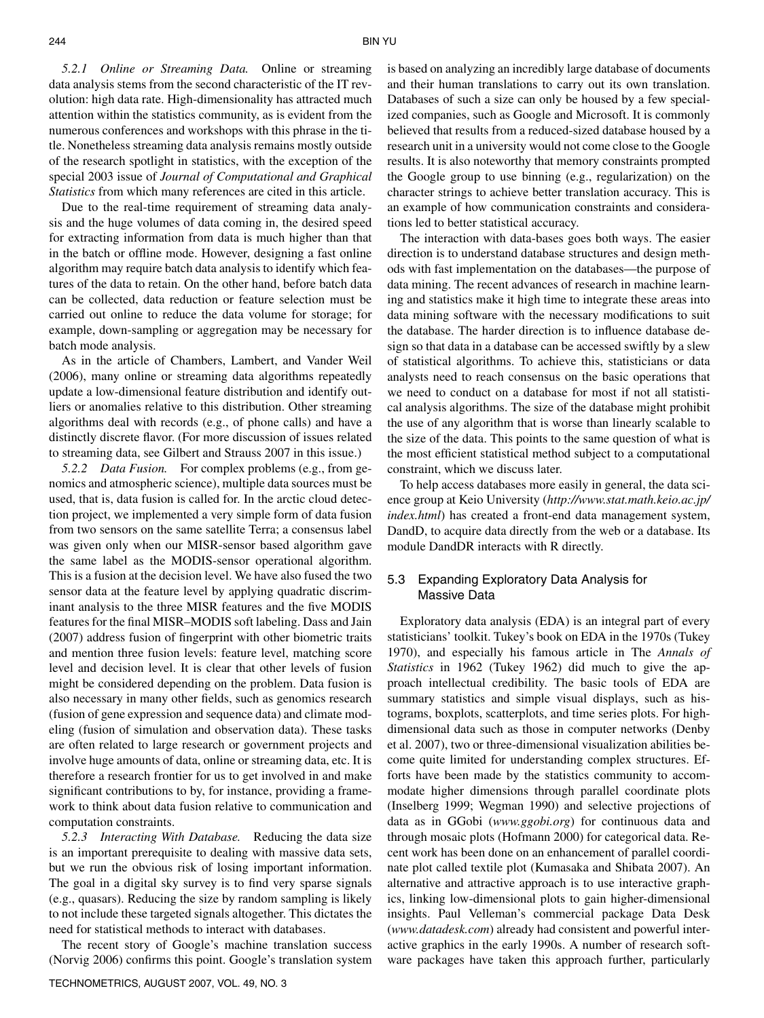*5.2.1 Online or Streaming Data.* Online or streaming data analysis stems from the second characteristic of the IT revolution: high data rate. High-dimensionality has attracted much attention within the statistics community, as is evident from the numerous conferences and workshops with this phrase in the title. Nonetheless streaming data analysis remains mostly outside of the research spotlight in statistics, with the exception of the special 2003 issue of *Journal of Computational and Graphical Statistics* from which many references are cited in this article.

Due to the real-time requirement of streaming data analysis and the huge volumes of data coming in, the desired speed for extracting information from data is much higher than that in the batch or offline mode. However, designing a fast online algorithm may require batch data analysis to identify which features of the data to retain. On the other hand, before batch data can be collected, data reduction or feature selection must be carried out online to reduce the data volume for storage; for example, down-sampling or aggregation may be necessary for batch mode analysis.

As in the article of Chambers, Lambert, and Vander Weil (2006), many online or streaming data algorithms repeatedly update a low-dimensional feature distribution and identify outliers or anomalies relative to this distribution. Other streaming algorithms deal with records (e.g., of phone calls) and have a distinctly discrete flavor. (For more discussion of issues related to streaming data, see Gilbert and Strauss 2007 in this issue.)

*5.2.2 Data Fusion.* For complex problems (e.g., from genomics and atmospheric science), multiple data sources must be used, that is, data fusion is called for. In the arctic cloud detection project, we implemented a very simple form of data fusion from two sensors on the same satellite Terra; a consensus label was given only when our MISR-sensor based algorithm gave the same label as the MODIS-sensor operational algorithm. This is a fusion at the decision level. We have also fused the two sensor data at the feature level by applying quadratic discriminant analysis to the three MISR features and the five MODIS features for the final MISR–MODIS soft labeling. Dass and Jain (2007) address fusion of fingerprint with other biometric traits and mention three fusion levels: feature level, matching score level and decision level. It is clear that other levels of fusion might be considered depending on the problem. Data fusion is also necessary in many other fields, such as genomics research (fusion of gene expression and sequence data) and climate modeling (fusion of simulation and observation data). These tasks are often related to large research or government projects and involve huge amounts of data, online or streaming data, etc. It is therefore a research frontier for us to get involved in and make significant contributions to by, for instance, providing a framework to think about data fusion relative to communication and computation constraints.

*5.2.3 Interacting With Database.* Reducing the data size is an important prerequisite to dealing with massive data sets, but we run the obvious risk of losing important information. The goal in a digital sky survey is to find very sparse signals (e.g., quasars). Reducing the size by random sampling is likely to not include these targeted signals altogether. This dictates the need for statistical methods to interact with databases.

The recent story of Google's machine translation success (Norvig 2006) confirms this point. Google's translation system is based on analyzing an incredibly large database of documents and their human translations to carry out its own translation. Databases of such a size can only be housed by a few specialized companies, such as Google and Microsoft. It is commonly believed that results from a reduced-sized database housed by a research unit in a university would not come close to the Google results. It is also noteworthy that memory constraints prompted the Google group to use binning (e.g., regularization) on the character strings to achieve better translation accuracy. This is an example of how communication constraints and considerations led to better statistical accuracy.

The interaction with data-bases goes both ways. The easier direction is to understand database structures and design methods with fast implementation on the databases—the purpose of data mining. The recent advances of research in machine learning and statistics make it high time to integrate these areas into data mining software with the necessary modifications to suit the database. The harder direction is to influence database design so that data in a database can be accessed swiftly by a slew of statistical algorithms. To achieve this, statisticians or data analysts need to reach consensus on the basic operations that we need to conduct on a database for most if not all statistical analysis algorithms. The size of the database might prohibit the use of any algorithm that is worse than linearly scalable to the size of the data. This points to the same question of what is the most efficient statistical method subject to a computational constraint, which we discuss later.

To help access databases more easily in general, the data science group at Keio University (*http://www.stat.math.keio.ac.jp/ index.html*) has created a front-end data management system, DandD, to acquire data directly from the web or a database. Its module DandDR interacts with R directly.

## 5.3 Expanding Exploratory Data Analysis for Massive Data

Exploratory data analysis (EDA) is an integral part of every statisticians' toolkit. Tukey's book on EDA in the 1970s (Tukey 1970), and especially his famous article in The *Annals of Statistics* in 1962 (Tukey 1962) did much to give the approach intellectual credibility. The basic tools of EDA are summary statistics and simple visual displays, such as histograms, boxplots, scatterplots, and time series plots. For highdimensional data such as those in computer networks (Denby et al. 2007), two or three-dimensional visualization abilities become quite limited for understanding complex structures. Efforts have been made by the statistics community to accommodate higher dimensions through parallel coordinate plots (Inselberg 1999; Wegman 1990) and selective projections of data as in GGobi (*www.ggobi.org*) for continuous data and through mosaic plots (Hofmann 2000) for categorical data. Recent work has been done on an enhancement of parallel coordinate plot called textile plot (Kumasaka and Shibata 2007). An alternative and attractive approach is to use interactive graphics, linking low-dimensional plots to gain higher-dimensional insights. Paul Velleman's commercial package Data Desk (*www.datadesk.com*) already had consistent and powerful interactive graphics in the early 1990s. A number of research software packages have taken this approach further, particularly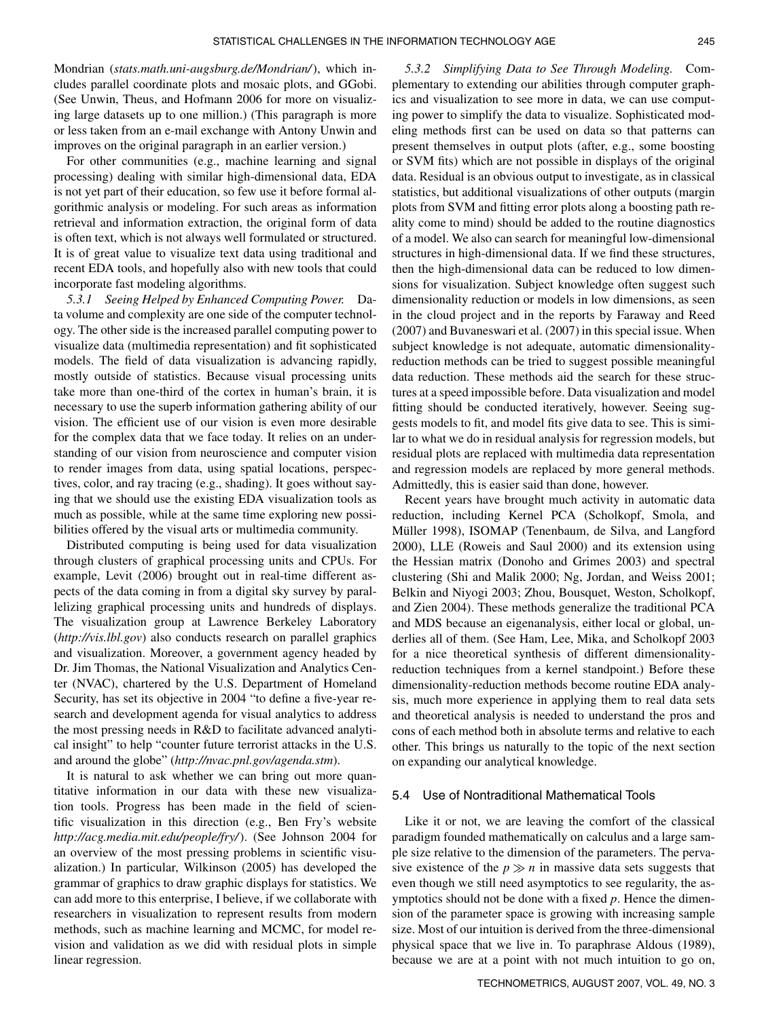Mondrian (*stats.math.uni-augsburg.de/Mondrian/*), which includes parallel coordinate plots and mosaic plots, and GGobi. (See Unwin, Theus, and Hofmann 2006 for more on visualizing large datasets up to one million.) (This paragraph is more or less taken from an e-mail exchange with Antony Unwin and improves on the original paragraph in an earlier version.)

For other communities (e.g., machine learning and signal processing) dealing with similar high-dimensional data, EDA is not yet part of their education, so few use it before formal algorithmic analysis or modeling. For such areas as information retrieval and information extraction, the original form of data is often text, which is not always well formulated or structured. It is of great value to visualize text data using traditional and recent EDA tools, and hopefully also with new tools that could incorporate fast modeling algorithms.

*5.3.1 Seeing Helped by Enhanced Computing Power.* Data volume and complexity are one side of the computer technology. The other side is the increased parallel computing power to visualize data (multimedia representation) and fit sophisticated models. The field of data visualization is advancing rapidly, mostly outside of statistics. Because visual processing units take more than one-third of the cortex in human's brain, it is necessary to use the superb information gathering ability of our vision. The efficient use of our vision is even more desirable for the complex data that we face today. It relies on an understanding of our vision from neuroscience and computer vision to render images from data, using spatial locations, perspectives, color, and ray tracing (e.g., shading). It goes without saying that we should use the existing EDA visualization tools as much as possible, while at the same time exploring new possibilities offered by the visual arts or multimedia community.

Distributed computing is being used for data visualization through clusters of graphical processing units and CPUs. For example, Levit (2006) brought out in real-time different aspects of the data coming in from a digital sky survey by parallelizing graphical processing units and hundreds of displays. The visualization group at Lawrence Berkeley Laboratory (*http://vis.lbl.gov*) also conducts research on parallel graphics and visualization. Moreover, a government agency headed by Dr. Jim Thomas, the National Visualization and Analytics Center (NVAC), chartered by the U.S. Department of Homeland Security, has set its objective in 2004 "to define a five-year research and development agenda for visual analytics to address the most pressing needs in R&D to facilitate advanced analytical insight" to help "counter future terrorist attacks in the U.S. and around the globe" (*http://nvac.pnl.gov/agenda.stm*).

It is natural to ask whether we can bring out more quantitative information in our data with these new visualization tools. Progress has been made in the field of scientific visualization in this direction (e.g., Ben Fry's website *http://acg.media.mit.edu/people/fry/*). (See Johnson 2004 for an overview of the most pressing problems in scientific visualization.) In particular, Wilkinson (2005) has developed the grammar of graphics to draw graphic displays for statistics. We can add more to this enterprise, I believe, if we collaborate with researchers in visualization to represent results from modern methods, such as machine learning and MCMC, for model revision and validation as we did with residual plots in simple linear regression.

*5.3.2 Simplifying Data to See Through Modeling.* Complementary to extending our abilities through computer graphics and visualization to see more in data, we can use computing power to simplify the data to visualize. Sophisticated modeling methods first can be used on data so that patterns can present themselves in output plots (after, e.g., some boosting or SVM fits) which are not possible in displays of the original data. Residual is an obvious output to investigate, as in classical statistics, but additional visualizations of other outputs (margin plots from SVM and fitting error plots along a boosting path reality come to mind) should be added to the routine diagnostics of a model. We also can search for meaningful low-dimensional structures in high-dimensional data. If we find these structures, then the high-dimensional data can be reduced to low dimensions for visualization. Subject knowledge often suggest such dimensionality reduction or models in low dimensions, as seen in the cloud project and in the reports by Faraway and Reed (2007) and Buvaneswari et al. (2007) in this special issue. When subject knowledge is not adequate, automatic dimensionalityreduction methods can be tried to suggest possible meaningful data reduction. These methods aid the search for these structures at a speed impossible before. Data visualization and model fitting should be conducted iteratively, however. Seeing suggests models to fit, and model fits give data to see. This is similar to what we do in residual analysis for regression models, but residual plots are replaced with multimedia data representation and regression models are replaced by more general methods. Admittedly, this is easier said than done, however.

Recent years have brought much activity in automatic data reduction, including Kernel PCA (Scholkopf, Smola, and Müller 1998), ISOMAP (Tenenbaum, de Silva, and Langford 2000), LLE (Roweis and Saul 2000) and its extension using the Hessian matrix (Donoho and Grimes 2003) and spectral clustering (Shi and Malik 2000; Ng, Jordan, and Weiss 2001; Belkin and Niyogi 2003; Zhou, Bousquet, Weston, Scholkopf, and Zien 2004). These methods generalize the traditional PCA and MDS because an eigenanalysis, either local or global, underlies all of them. (See Ham, Lee, Mika, and Scholkopf 2003 for a nice theoretical synthesis of different dimensionalityreduction techniques from a kernel standpoint.) Before these dimensionality-reduction methods become routine EDA analysis, much more experience in applying them to real data sets and theoretical analysis is needed to understand the pros and cons of each method both in absolute terms and relative to each other. This brings us naturally to the topic of the next section on expanding our analytical knowledge.

#### 5.4 Use of Nontraditional Mathematical Tools

Like it or not, we are leaving the comfort of the classical paradigm founded mathematically on calculus and a large sample size relative to the dimension of the parameters. The pervasive existence of the  $p \gg n$  in massive data sets suggests that even though we still need asymptotics to see regularity, the asymptotics should not be done with a fixed *p*. Hence the dimension of the parameter space is growing with increasing sample size. Most of our intuition is derived from the three-dimensional physical space that we live in. To paraphrase Aldous (1989), because we are at a point with not much intuition to go on,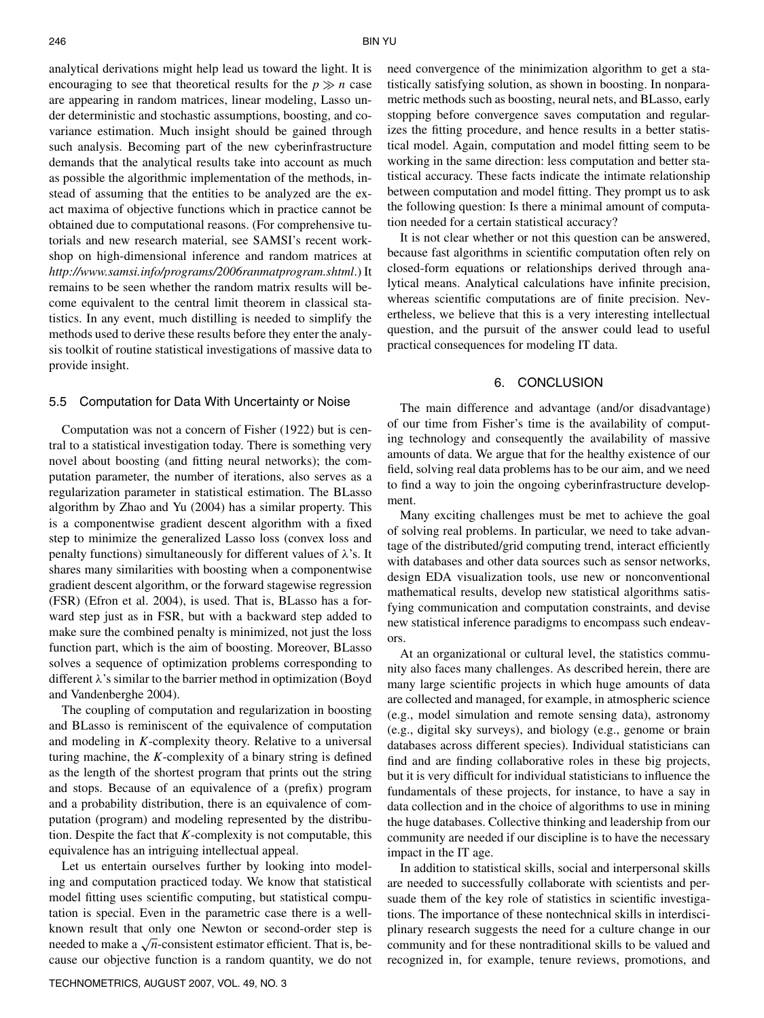analytical derivations might help lead us toward the light. It is encouraging to see that theoretical results for the  $p \gg n$  case are appearing in random matrices, linear modeling, Lasso under deterministic and stochastic assumptions, boosting, and covariance estimation. Much insight should be gained through such analysis. Becoming part of the new cyberinfrastructure demands that the analytical results take into account as much as possible the algorithmic implementation of the methods, instead of assuming that the entities to be analyzed are the exact maxima of objective functions which in practice cannot be obtained due to computational reasons. (For comprehensive tutorials and new research material, see SAMSI's recent workshop on high-dimensional inference and random matrices at *http://www.samsi.info/programs/2006ranmatprogram.shtml*.) It remains to be seen whether the random matrix results will become equivalent to the central limit theorem in classical statistics. In any event, much distilling is needed to simplify the methods used to derive these results before they enter the analysis toolkit of routine statistical investigations of massive data to provide insight.

#### 5.5 Computation for Data With Uncertainty or Noise

Computation was not a concern of Fisher (1922) but is central to a statistical investigation today. There is something very novel about boosting (and fitting neural networks); the computation parameter, the number of iterations, also serves as a regularization parameter in statistical estimation. The BLasso algorithm by Zhao and Yu (2004) has a similar property. This is a componentwise gradient descent algorithm with a fixed step to minimize the generalized Lasso loss (convex loss and penalty functions) simultaneously for different values of *λ*'s. It shares many similarities with boosting when a componentwise gradient descent algorithm, or the forward stagewise regression (FSR) (Efron et al. 2004), is used. That is, BLasso has a forward step just as in FSR, but with a backward step added to make sure the combined penalty is minimized, not just the loss function part, which is the aim of boosting. Moreover, BLasso solves a sequence of optimization problems corresponding to different *λ*'s similar to the barrier method in optimization (Boyd and Vandenberghe 2004).

The coupling of computation and regularization in boosting and BLasso is reminiscent of the equivalence of computation and modeling in *K*-complexity theory. Relative to a universal turing machine, the *K*-complexity of a binary string is defined as the length of the shortest program that prints out the string and stops. Because of an equivalence of a (prefix) program and a probability distribution, there is an equivalence of computation (program) and modeling represented by the distribution. Despite the fact that *K*-complexity is not computable, this equivalence has an intriguing intellectual appeal.

Let us entertain ourselves further by looking into modeling and computation practiced today. We know that statistical model fitting uses scientific computing, but statistical computation is special. Even in the parametric case there is a wellknown result that only one Newton or second-order step is needed to make a  $\sqrt{n}$ -consistent estimator efficient. That is, because our objective function is a random quantity, we do not need convergence of the minimization algorithm to get a statistically satisfying solution, as shown in boosting. In nonparametric methods such as boosting, neural nets, and BLasso, early stopping before convergence saves computation and regularizes the fitting procedure, and hence results in a better statistical model. Again, computation and model fitting seem to be working in the same direction: less computation and better statistical accuracy. These facts indicate the intimate relationship between computation and model fitting. They prompt us to ask the following question: Is there a minimal amount of computation needed for a certain statistical accuracy?

It is not clear whether or not this question can be answered, because fast algorithms in scientific computation often rely on closed-form equations or relationships derived through analytical means. Analytical calculations have infinite precision, whereas scientific computations are of finite precision. Nevertheless, we believe that this is a very interesting intellectual question, and the pursuit of the answer could lead to useful practical consequences for modeling IT data.

#### 6. CONCLUSION

The main difference and advantage (and/or disadvantage) of our time from Fisher's time is the availability of computing technology and consequently the availability of massive amounts of data. We argue that for the healthy existence of our field, solving real data problems has to be our aim, and we need to find a way to join the ongoing cyberinfrastructure development.

Many exciting challenges must be met to achieve the goal of solving real problems. In particular, we need to take advantage of the distributed/grid computing trend, interact efficiently with databases and other data sources such as sensor networks, design EDA visualization tools, use new or nonconventional mathematical results, develop new statistical algorithms satisfying communication and computation constraints, and devise new statistical inference paradigms to encompass such endeavors.

At an organizational or cultural level, the statistics community also faces many challenges. As described herein, there are many large scientific projects in which huge amounts of data are collected and managed, for example, in atmospheric science (e.g., model simulation and remote sensing data), astronomy (e.g., digital sky surveys), and biology (e.g., genome or brain databases across different species). Individual statisticians can find and are finding collaborative roles in these big projects, but it is very difficult for individual statisticians to influence the fundamentals of these projects, for instance, to have a say in data collection and in the choice of algorithms to use in mining the huge databases. Collective thinking and leadership from our community are needed if our discipline is to have the necessary impact in the IT age.

In addition to statistical skills, social and interpersonal skills are needed to successfully collaborate with scientists and persuade them of the key role of statistics in scientific investigations. The importance of these nontechnical skills in interdisciplinary research suggests the need for a culture change in our community and for these nontraditional skills to be valued and recognized in, for example, tenure reviews, promotions, and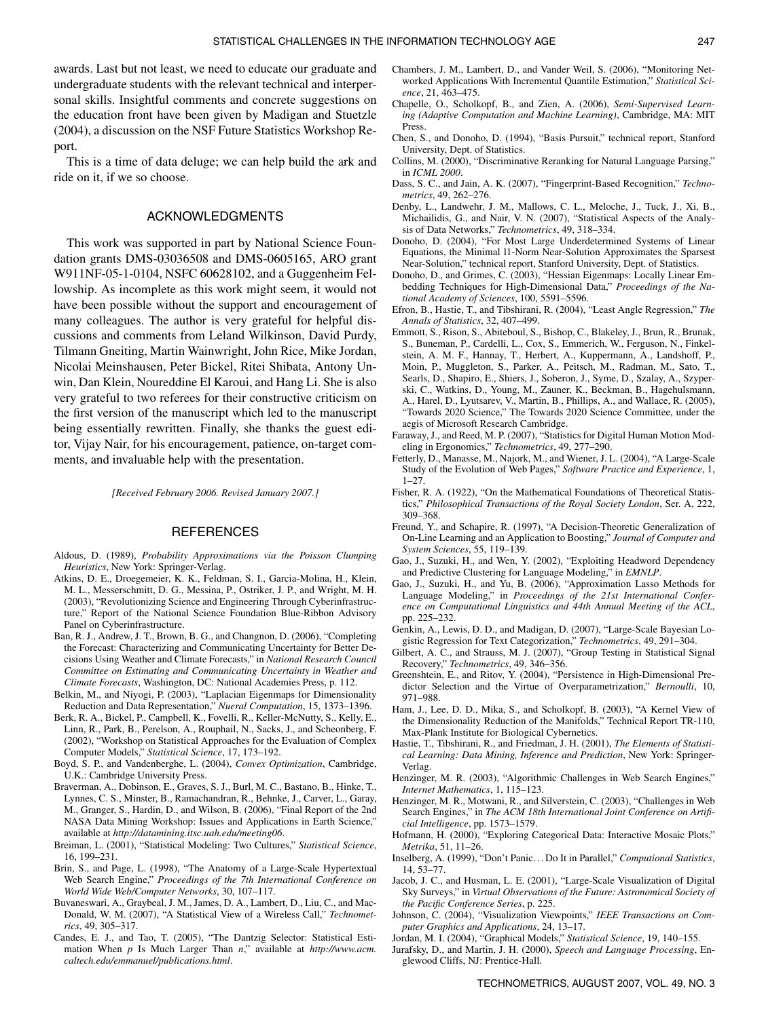awards. Last but not least, we need to educate our graduate and undergraduate students with the relevant technical and interpersonal skills. Insightful comments and concrete suggestions on the education front have been given by Madigan and Stuetzle (2004), a discussion on the NSF Future Statistics Workshop Report.

This is a time of data deluge; we can help build the ark and ride on it, if we so choose.

#### ACKNOWLEDGMENTS

This work was supported in part by National Science Foundation grants DMS-03036508 and DMS-0605165, ARO grant W911NF-05-1-0104, NSFC 60628102, and a Guggenheim Fellowship. As incomplete as this work might seem, it would not have been possible without the support and encouragement of many colleagues. The author is very grateful for helpful discussions and comments from Leland Wilkinson, David Purdy, Tilmann Gneiting, Martin Wainwright, John Rice, Mike Jordan, Nicolai Meinshausen, Peter Bickel, Ritei Shibata, Antony Unwin, Dan Klein, Noureddine El Karoui, and Hang Li. She is also very grateful to two referees for their constructive criticism on the first version of the manuscript which led to the manuscript being essentially rewritten. Finally, she thanks the guest editor, Vijay Nair, for his encouragement, patience, on-target comments, and invaluable help with the presentation.

*[Received February 2006. Revised January 2007.]*

#### **REFERENCES**

- Aldous, D. (1989), *Probability Approximations via the Poisson Clumping Heuristics*, New York: Springer-Verlag.
- Atkins, D. E., Droegemeier, K. K., Feldman, S. I., Garcia-Molina, H., Klein, M. L., Messerschmitt, D. G., Messina, P., Ostriker, J. P., and Wright, M. H. (2003), "Revolutionizing Science and Engineering Through Cyberinfrastructure," Report of the National Science Foundation Blue-Ribbon Advisory Panel on Cyberinfrastructure.
- Ban, R. J., Andrew, J. T., Brown, B. G., and Changnon, D. (2006), "Completing the Forecast: Characterizing and Communicating Uncertainty for Better Decisions Using Weather and Climate Forecasts," in *National Research Council Committee on Estimating and Communicating Uncertainty in Weather and Climate Forecasts*, Washington, DC: National Academies Press, p. 112.
- Belkin, M., and Niyogi, P. (2003), "Laplacian Eigenmaps for Dimensionality Reduction and Data Representation," *Nueral Computation*, 15, 1373–1396.
- Berk, R. A., Bickel, P., Campbell, K., Fovelli, R., Keller-McNutty, S., Kelly, E., Linn, R., Park, B., Perelson, A., Rouphail, N., Sacks, J., and Scheonberg, F. (2002), "Workshop on Statistical Approaches for the Evaluation of Complex Computer Models," *Statistical Science*, 17, 173–192.
- Boyd, S. P., and Vandenberghe, L. (2004), *Convex Optimization*, Cambridge, U.K.: Cambridge University Press.
- Braverman, A., Dobinson, E., Graves, S. J., Burl, M. C., Bastano, B., Hinke, T., Lynnes, C. S., Minster, B., Ramachandran, R., Behnke, J., Carver, L., Garay, M., Granger, S., Hardin, D., and Wilson, B. (2006), "Final Report of the 2nd NASA Data Mining Workshop: Issues and Applications in Earth Science," available at *http://datamining.itsc.uah.edu/meeting06*.
- Breiman, L. (2001), "Statistical Modeling: Two Cultures," *Statistical Science*, 16, 199–231.
- Brin, S., and Page, L. (1998), "The Anatomy of a Large-Scale Hypertextual Web Search Engine," *Proceedings of the 7th International Conference on World Wide Web/Computer Networks*, 30, 107–117.
- Buvaneswari, A., Graybeal, J. M., James, D. A., Lambert, D., Liu, C., and Mac-Donald, W. M. (2007), "A Statistical View of a Wireless Call," *Technometrics*, 49, 305–317.
- Candes, E. J., and Tao, T. (2005), "The Dantzig Selector: Statistical Estimation When *p* Is Much Larger Than *n*," available at *http://www.acm. caltech.edu/emmanuel/publications.html*.
- Chambers, J. M., Lambert, D., and Vander Weil, S. (2006), "Monitoring Networked Applications With Incremental Quantile Estimation," *Statistical Science*, 21, 463–475.
- Chapelle, O., Scholkopf, B., and Zien, A. (2006), *Semi-Supervised Learning (Adaptive Computation and Machine Learning)*, Cambridge, MA: MIT Press.
- Chen, S., and Donoho, D. (1994), "Basis Pursuit," technical report, Stanford University, Dept. of Statistics.
- Collins, M. (2000), "Discriminative Reranking for Natural Language Parsing," in *ICML 2000*.
- Dass, S. C., and Jain, A. K. (2007), "Fingerprint-Based Recognition," *Technometrics*, 49, 262–276.
- Denby, L., Landwehr, J. M., Mallows, C. L., Meloche, J., Tuck, J., Xi, B., Michailidis, G., and Nair, V. N. (2007), "Statistical Aspects of the Analysis of Data Networks," *Technometrics*, 49, 318–334.
- Donoho, D. (2004), "For Most Large Underdetermined Systems of Linear Equations, the Minimal l1-Norm Near-Solution Approximates the Sparsest Near-Solution," technical report, Stanford University, Dept. of Statistics.
- Donoho, D., and Grimes, C. (2003), "Hessian Eigenmaps: Locally Linear Embedding Techniques for High-Dimensional Data," *Proceedings of the National Academy of Sciences*, 100, 5591–5596.
- Efron, B., Hastie, T., and Tibshirani, R. (2004), "Least Angle Regression," *The Annals of Statistics*, 32, 407–499.
- Emmott, S., Rison, S., Abiteboul, S., Bishop, C., Blakeley, J., Brun, R., Brunak, S., Buneman, P., Cardelli, L., Cox, S., Emmerich, W., Ferguson, N., Finkelstein, A. M. F., Hannay, T., Herbert, A., Kuppermann, A., Landshoff, P., Moin, P., Muggleton, S., Parker, A., Peitsch, M., Radman, M., Sato, T., Searls, D., Shapiro, E., Shiers, J., Soberon, J., Syme, D., Szalay, A., Szyperski, C., Watkins, D., Young, M., Zauner, K., Beckman, B., Hagehulsmann, A., Harel, D., Lyutsarev, V., Martin, B., Phillips, A., and Wallace, R. (2005), "Towards 2020 Science," The Towards 2020 Science Committee, under the aegis of Microsoft Research Cambridge.
- Faraway, J., and Reed, M. P. (2007), "Statistics for Digital Human Motion Modeling in Ergonomics," *Technometrics*, 49, 277–290.
- Fetterly, D., Manasse, M., Najork, M., and Wiener, J. L. (2004), "A Large-Scale Study of the Evolution of Web Pages," *Software Practice and Experience*, 1, 1–27.
- Fisher, R. A. (1922), "On the Mathematical Foundations of Theoretical Statistics," *Philosophical Transactions of the Royal Society London*, Ser. A, 222, 309–368.
- Freund, Y., and Schapire, R. (1997), "A Decision-Theoretic Generalization of On-Line Learning and an Application to Boosting," *Journal of Computer and System Sciences*, 55, 119–139.
- Gao, J., Suzuki, H., and Wen, Y. (2002), "Exploiting Headword Dependency and Predictive Clustering for Language Modeling," in *EMNLP*.
- Gao, J., Suzuki, H., and Yu, B. (2006), "Approximation Lasso Methods for Language Modeling," in *Proceedings of the 21st International Conference on Computational Linguistics and 44th Annual Meeting of the ACL*, pp. 225–232.
- Genkin, A., Lewis, D. D., and Madigan, D. (2007), "Large-Scale Bayesian Logistic Regression for Text Categorization," *Technometrics*, 49, 291–304.
- Gilbert, A. C., and Strauss, M. J. (2007), "Group Testing in Statistical Signal Recovery," *Technometrics*, 49, 346–356.
- Greenshtein, E., and Ritov, Y. (2004), "Persistence in High-Dimensional Predictor Selection and the Virtue of Overparametrization," *Bernoulli*, 10, 971–988.
- Ham, J., Lee, D. D., Mika, S., and Scholkopf, B. (2003), "A Kernel View of the Dimensionality Reduction of the Manifolds," Technical Report TR-110, Max-Plank Institute for Biological Cybernetics.
- Hastie, T., Tibshirani, R., and Friedman, J. H. (2001), *The Elements of Statistical Learning: Data Mining, Inference and Prediction*, New York: Springer-Verlag.
- Henzinger, M. R. (2003), "Algorithmic Challenges in Web Search Engines," *Internet Mathematics*, 1, 115–123.
- Henzinger, M. R., Motwani, R., and Silverstein, C. (2003), "Challenges in Web Search Engines," in *The ACM 18th International Joint Conference on Artificial Intelligence*, pp. 1573–1579.
- Hofmann, H. (2000), "Exploring Categorical Data: Interactive Mosaic Plots," *Metrika*, 51, 11–26.
- Inselberg, A. (1999), "Don't Panic. . . Do It in Parallel," *Computional Statistics*, 14, 53–77.
- Jacob, J. C., and Husman, L. E. (2001), "Large-Scale Visualization of Digital Sky Surveys," in *Virtual Observations of the Future: Astronomical Society of the Pacific Conference Series*, p. 225.
- Johnson, C. (2004), "Visualization Viewpoints," *IEEE Transactions on Computer Graphics and Applications*, 24, 13–17.
- Jordan, M. I. (2004), "Graphical Models," *Statistical Science*, 19, 140–155.
- Jurafsky, D., and Martin, J. H. (2000), *Speech and Language Processing*, Englewood Cliffs, NJ: Prentice-Hall.